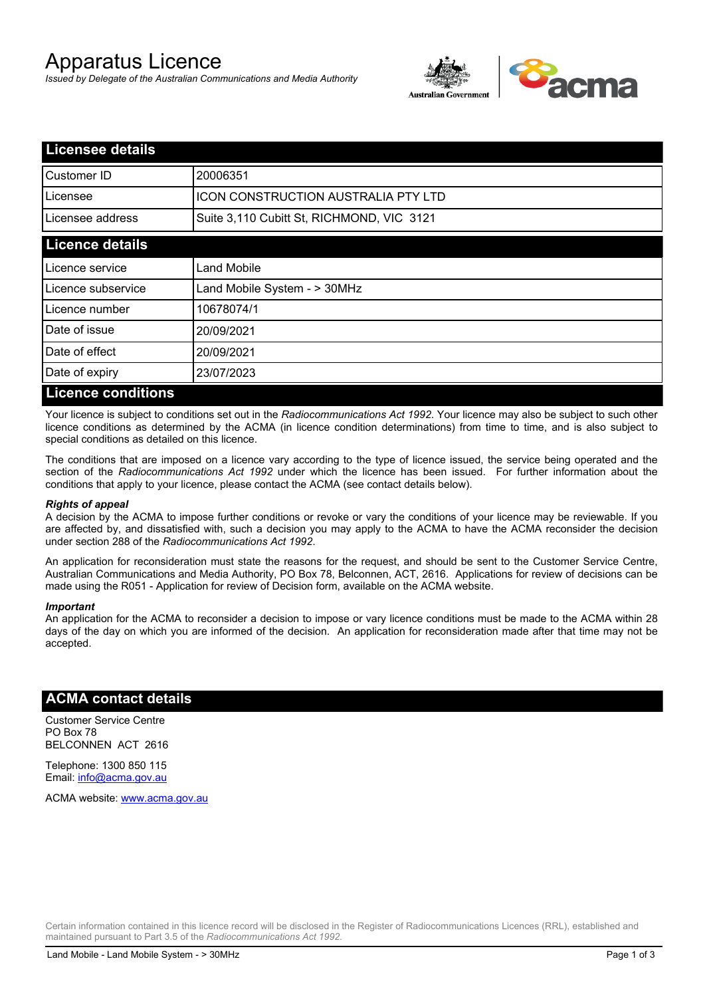# Apparatus Licence

*Issued by Delegate of the Australian Communications and Media Authority*



| <b>Licensee details</b>   |                                           |  |  |
|---------------------------|-------------------------------------------|--|--|
| <b>I</b> Customer ID      | 20006351                                  |  |  |
| Licensee                  | ICON CONSTRUCTION AUSTRALIA PTY LTD       |  |  |
| Licensee address          | Suite 3,110 Cubitt St, RICHMOND, VIC 3121 |  |  |
| <b>Licence details</b>    |                                           |  |  |
| Licence service           | <b>Land Mobile</b>                        |  |  |
| Licence subservice        | Land Mobile System - > 30MHz              |  |  |
| Licence number            | 10678074/1                                |  |  |
| Date of issue             | 20/09/2021                                |  |  |
| Date of effect            | 20/09/2021                                |  |  |
| Date of expiry            | 23/07/2023                                |  |  |
| <b>Licence conditions</b> |                                           |  |  |

Your licence is subject to conditions set out in the *Radiocommunications Act 1992*. Your licence may also be subject to such other licence conditions as determined by the ACMA (in licence condition determinations) from time to time, and is also subject to special conditions as detailed on this licence.

The conditions that are imposed on a licence vary according to the type of licence issued, the service being operated and the section of the *Radiocommunications Act 1992* under which the licence has been issued. For further information about the conditions that apply to your licence, please contact the ACMA (see contact details below).

#### *Rights of appeal*

A decision by the ACMA to impose further conditions or revoke or vary the conditions of your licence may be reviewable. If you are affected by, and dissatisfied with, such a decision you may apply to the ACMA to have the ACMA reconsider the decision under section 288 of the *Radiocommunications Act 1992*.

An application for reconsideration must state the reasons for the request, and should be sent to the Customer Service Centre, Australian Communications and Media Authority, PO Box 78, Belconnen, ACT, 2616. Applications for review of decisions can be made using the R051 - Application for review of Decision form, available on the ACMA website.

#### *Important*

An application for the ACMA to reconsider a decision to impose or vary licence conditions must be made to the ACMA within 28 days of the day on which you are informed of the decision. An application for reconsideration made after that time may not be accepted.

#### **ACMA contact details**

Customer Service Centre PO Box 78 BELCONNEN ACT 2616

Telephone: 1300 850 115 Email: info@acma.gov.au

ACMA website: www.acma.gov.au

Certain information contained in this licence record will be disclosed in the Register of Radiocommunications Licences (RRL), established and maintained pursuant to Part 3.5 of the *Radiocommunications Act 1992.*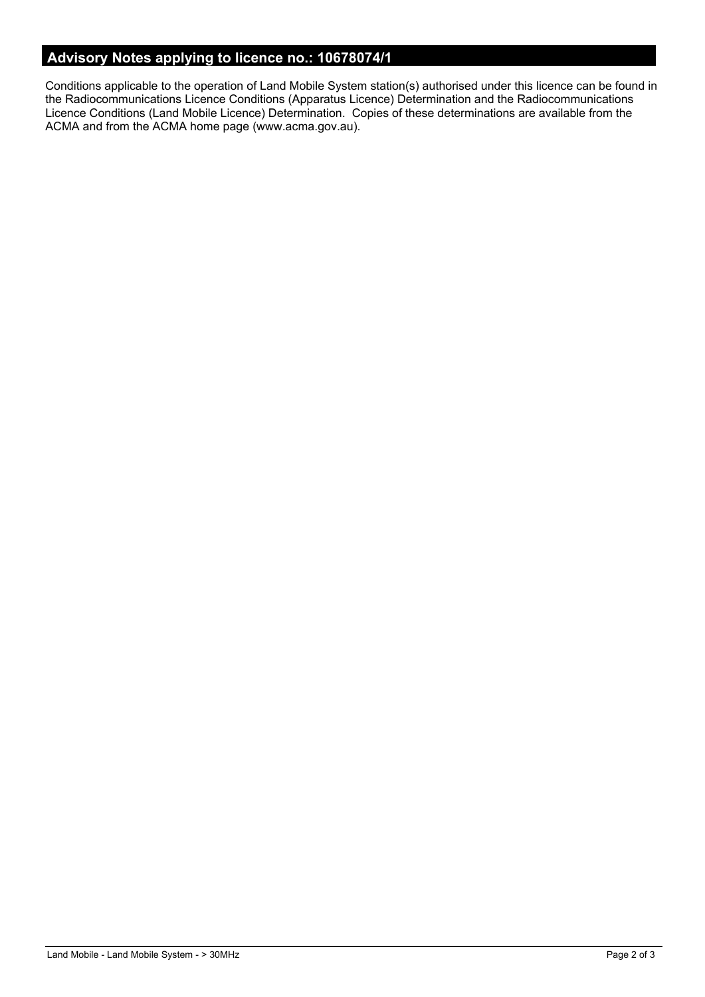### **Advisory Notes applying to licence no.: 10678074/1**

Conditions applicable to the operation of Land Mobile System station(s) authorised under this licence can be found in the Radiocommunications Licence Conditions (Apparatus Licence) Determination and the Radiocommunications Licence Conditions (Land Mobile Licence) Determination. Copies of these determinations are available from the ACMA and from the ACMA home page (www.acma.gov.au).